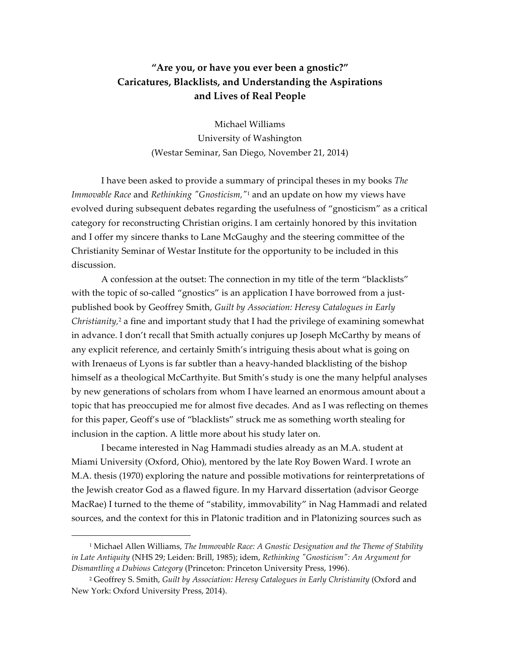## **"Are you, or have you ever been a gnostic?" Caricatures, Blacklists, and Understanding the Aspirations and Lives of Real People**

Michael Williams University of Washington (Westar Seminar, San Diego, November 21, 2014)

I have been asked to provide a summary of principal theses in my books *The Immovable Race* and *Rethinking "Gnosticism,"*<sup>1</sup> and an update on how my views have evolved during subsequent debates regarding the usefulness of "gnosticism" as a critical category for reconstructing Christian origins. I am certainly honored by this invitation and I offer my sincere thanks to Lane McGaughy and the steering committee of the Christianity Seminar of Westar Institute for the opportunity to be included in this discussion.

A confession at the outset: The connection in my title of the term "blacklists" with the topic of so-called "gnostics" is an application I have borrowed from a justpublished book by Geoffrey Smith, *Guilt by Association: Heresy Catalogues in Early Christianity,*<sup>2</sup> a fine and important study that I had the privilege of examining somewhat in advance. I don't recall that Smith actually conjures up Joseph McCarthy by means of any explicit reference, and certainly Smith's intriguing thesis about what is going on with Irenaeus of Lyons is far subtler than a heavy-handed blacklisting of the bishop himself as a theological McCarthyite. But Smith's study is one the many helpful analyses by new generations of scholars from whom I have learned an enormous amount about a topic that has preoccupied me for almost five decades. And as I was reflecting on themes for this paper, Geoff's use of "blacklists" struck me as something worth stealing for inclusion in the caption. A little more about his study later on.

I became interested in Nag Hammadi studies already as an M.A. student at Miami University (Oxford, Ohio), mentored by the late Roy Bowen Ward. I wrote an M.A. thesis (1970) exploring the nature and possible motivations for reinterpretations of the Jewish creator God as a flawed figure. In my Harvard dissertation (advisor George MacRae) I turned to the theme of "stability, immovability" in Nag Hammadi and related sources, and the context for this in Platonic tradition and in Platonizing sources such as

<sup>1</sup> Michael Allen Williams, *The Immovable Race: A Gnostic Designation and the Theme of Stability in Late Antiquity* (NHS 29; Leiden: Brill, 1985); idem, *Rethinking "Gnosticism": An Argument for Dismantling a Dubious Category* (Princeton: Princeton University Press, 1996).

<sup>&</sup>lt;sup>2</sup> Geoffrey S. Smith, *Guilt by Association: Heresy Catalogues in Early Christianity (Oxford and* New York: Oxford University Press, 2014).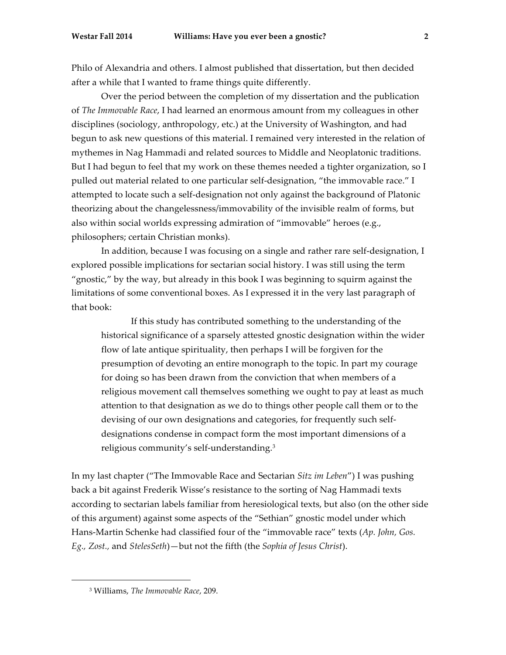Philo of Alexandria and others. I almost published that dissertation, but then decided after a while that I wanted to frame things quite differently.

Over the period between the completion of my dissertation and the publication of *The Immovable Race*, I had learned an enormous amount from my colleagues in other disciplines (sociology, anthropology, etc.) at the University of Washington, and had begun to ask new questions of this material. I remained very interested in the relation of mythemes in Nag Hammadi and related sources to Middle and Neoplatonic traditions. But I had begun to feel that my work on these themes needed a tighter organization, so I pulled out material related to one particular self-designation, "the immovable race." I attempted to locate such a self-designation not only against the background of Platonic theorizing about the changelessness/immovability of the invisible realm of forms, but also within social worlds expressing admiration of "immovable" heroes (e.g., philosophers; certain Christian monks).

In addition, because I was focusing on a single and rather rare self-designation, I explored possible implications for sectarian social history. I was still using the term "gnostic," by the way, but already in this book I was beginning to squirm against the limitations of some conventional boxes. As I expressed it in the very last paragraph of that book:

If this study has contributed something to the understanding of the historical significance of a sparsely attested gnostic designation within the wider flow of late antique spirituality, then perhaps I will be forgiven for the presumption of devoting an entire monograph to the topic. In part my courage for doing so has been drawn from the conviction that when members of a religious movement call themselves something we ought to pay at least as much attention to that designation as we do to things other people call them or to the devising of our own designations and categories, for frequently such selfdesignations condense in compact form the most important dimensions of a religious community's self-understanding.3

In my last chapter ("The Immovable Race and Sectarian *Sitz im Leben*") I was pushing back a bit against Frederik Wisse's resistance to the sorting of Nag Hammadi texts according to sectarian labels familiar from heresiological texts, but also (on the other side of this argument) against some aspects of the "Sethian" gnostic model under which Hans-Martin Schenke had classified four of the "immovable race" texts (*Ap. John, Gos. Eg., Zost.,* and *StelesSeth*)—but not the fifth (the *Sophia of Jesus Christ*).

<sup>3</sup> Williams, *The Immovable Race*, 209.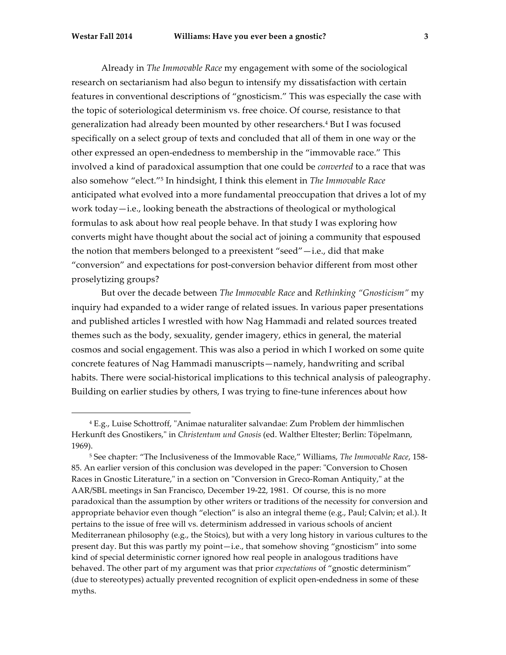Already in *The Immovable Race* my engagement with some of the sociological research on sectarianism had also begun to intensify my dissatisfaction with certain features in conventional descriptions of "gnosticism." This was especially the case with the topic of soteriological determinism vs. free choice. Of course, resistance to that generalization had already been mounted by other researchers.4 But I was focused specifically on a select group of texts and concluded that all of them in one way or the other expressed an open-endedness to membership in the "immovable race." This involved a kind of paradoxical assumption that one could be *converted* to a race that was also somehow "elect."5 In hindsight, I think this element in *The Immovable Race* anticipated what evolved into a more fundamental preoccupation that drives a lot of my work today—i.e., looking beneath the abstractions of theological or mythological formulas to ask about how real people behave. In that study I was exploring how converts might have thought about the social act of joining a community that espoused the notion that members belonged to a preexistent "seed"—i.e., did that make "conversion" and expectations for post-conversion behavior different from most other proselytizing groups?

But over the decade between *The Immovable Race* and *Rethinking "Gnosticism"* my inquiry had expanded to a wider range of related issues. In various paper presentations and published articles I wrestled with how Nag Hammadi and related sources treated themes such as the body, sexuality, gender imagery, ethics in general, the material cosmos and social engagement. This was also a period in which I worked on some quite concrete features of Nag Hammadi manuscripts—namely, handwriting and scribal habits. There were social-historical implications to this technical analysis of paleography. Building on earlier studies by others, I was trying to fine-tune inferences about how

<sup>4</sup> E.g., Luise Schottroff, "Animae naturaliter salvandae: Zum Problem der himmlischen Herkunft des Gnostikers," in *Christentum und Gnosis* (ed. Walther Eltester; Berlin: Töpelmann, 1969).

<sup>5</sup> See chapter: "The Inclusiveness of the Immovable Race," Williams, *The Immovable Race*, 158- 85. An earlier version of this conclusion was developed in the paper: "Conversion to Chosen Races in Gnostic Literature," in a section on "Conversion in Greco-Roman Antiquity," at the AAR/SBL meetings in San Francisco, December 19-22, 1981. Of course, this is no more paradoxical than the assumption by other writers or traditions of the necessity for conversion and appropriate behavior even though "election" is also an integral theme (e.g., Paul; Calvin; et al.). It pertains to the issue of free will vs. determinism addressed in various schools of ancient Mediterranean philosophy (e.g., the Stoics), but with a very long history in various cultures to the present day. But this was partly my point—i.e., that somehow shoving "gnosticism" into some kind of special deterministic corner ignored how real people in analogous traditions have behaved. The other part of my argument was that prior *expectations* of "gnostic determinism" (due to stereotypes) actually prevented recognition of explicit open-endedness in some of these myths.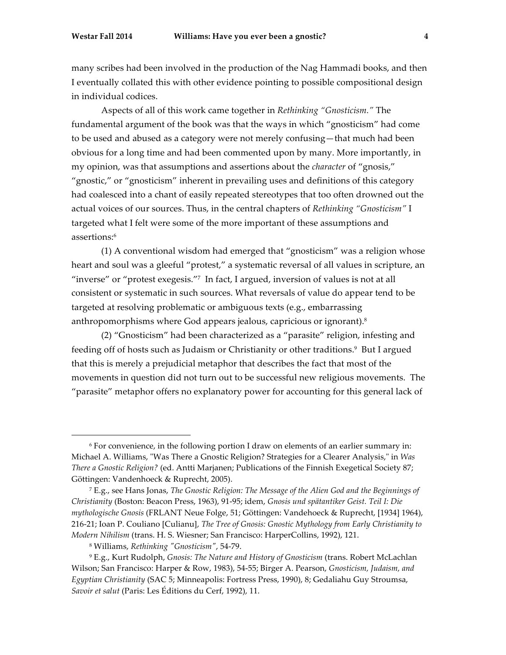<u>.</u>

many scribes had been involved in the production of the Nag Hammadi books, and then I eventually collated this with other evidence pointing to possible compositional design in individual codices.

Aspects of all of this work came together in *Rethinking "Gnosticism."* The fundamental argument of the book was that the ways in which "gnosticism" had come to be used and abused as a category were not merely confusing—that much had been obvious for a long time and had been commented upon by many. More importantly, in my opinion, was that assumptions and assertions about the *character* of "gnosis," "gnostic," or "gnosticism" inherent in prevailing uses and definitions of this category had coalesced into a chant of easily repeated stereotypes that too often drowned out the actual voices of our sources. Thus, in the central chapters of *Rethinking "Gnosticism"* I targeted what I felt were some of the more important of these assumptions and assertions:6

(1) A conventional wisdom had emerged that "gnosticism" was a religion whose heart and soul was a gleeful "protest," a systematic reversal of all values in scripture, an "inverse" or "protest exegesis."7 In fact, I argued, inversion of values is not at all consistent or systematic in such sources. What reversals of value do appear tend to be targeted at resolving problematic or ambiguous texts (e.g., embarrassing anthropomorphisms where God appears jealous, capricious or ignorant).8

(2) "Gnosticism" had been characterized as a "parasite" religion, infesting and feeding off of hosts such as Judaism or Christianity or other traditions.<sup>9</sup> But I argued that this is merely a prejudicial metaphor that describes the fact that most of the movements in question did not turn out to be successful new religious movements. The "parasite" metaphor offers no explanatory power for accounting for this general lack of

<sup>6</sup> For convenience, in the following portion I draw on elements of an earlier summary in: Michael A. Williams, "Was There a Gnostic Religion? Strategies for a Clearer Analysis," in *Was There a Gnostic Religion?* (ed. Antti Marjanen; Publications of the Finnish Exegetical Society 87; Göttingen: Vandenhoeck & Ruprecht, 2005).

<sup>7</sup> E.g., see Hans Jonas, *The Gnostic Religion: The Message of the Alien God and the Beginnings of Christianity* (Boston: Beacon Press, 1963), 91-95; idem, *Gnosis und spätantiker Geist. Teil I: Die mythologische Gnosis* (FRLANT Neue Folge, 51; Göttingen: Vandehoeck & Ruprecht, [1934] 1964), 216-21; Ioan P. Couliano [Culianu], *The Tree of Gnosis: Gnostic Mythology from Early Christianity to Modern Nihilism* (trans. H. S. Wiesner; San Francisco: HarperCollins, 1992), 121.

<sup>8</sup> Williams, *Rethinking "Gnosticism"*, 54-79.

<sup>9</sup> E.g., Kurt Rudolph, *Gnosis: The Nature and History of Gnosticism* (trans. Robert McLachlan Wilson; San Francisco: Harper & Row, 1983), 54-55; Birger A. Pearson, *Gnosticism, Judaism, and Egyptian Christianity* (SAC 5; Minneapolis: Fortress Press, 1990), 8; Gedaliahu Guy Stroumsa, *Savoir et salut* (Paris: Les Éditions du Cerf, 1992), 11.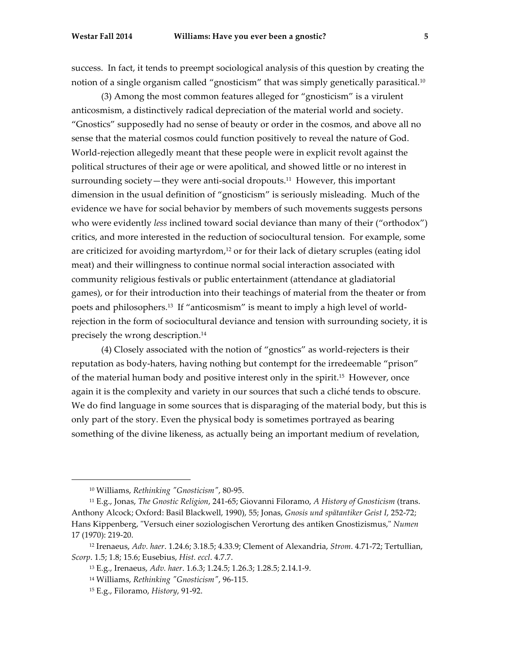success. In fact, it tends to preempt sociological analysis of this question by creating the notion of a single organism called "gnosticism" that was simply genetically parasitical.10

(3) Among the most common features alleged for "gnosticism" is a virulent anticosmism, a distinctively radical depreciation of the material world and society. "Gnostics" supposedly had no sense of beauty or order in the cosmos, and above all no sense that the material cosmos could function positively to reveal the nature of God. World-rejection allegedly meant that these people were in explicit revolt against the political structures of their age or were apolitical, and showed little or no interest in surrounding society—they were anti-social dropouts.11 However, this important dimension in the usual definition of "gnosticism" is seriously misleading. Much of the evidence we have for social behavior by members of such movements suggests persons who were evidently *less* inclined toward social deviance than many of their ("orthodox") critics, and more interested in the reduction of sociocultural tension. For example, some are criticized for avoiding martyrdom, $12$  or for their lack of dietary scruples (eating idol meat) and their willingness to continue normal social interaction associated with community religious festivals or public entertainment (attendance at gladiatorial games), or for their introduction into their teachings of material from the theater or from poets and philosophers.13 If "anticosmism" is meant to imply a high level of worldrejection in the form of sociocultural deviance and tension with surrounding society, it is precisely the wrong description.14

(4) Closely associated with the notion of "gnostics" as world-rejecters is their reputation as body-haters, having nothing but contempt for the irredeemable "prison" of the material human body and positive interest only in the spirit.<sup>15</sup> However, once again it is the complexity and variety in our sources that such a cliché tends to obscure. We do find language in some sources that is disparaging of the material body, but this is only part of the story. Even the physical body is sometimes portrayed as bearing something of the divine likeness, as actually being an important medium of revelation,

<sup>10</sup> Williams, *Rethinking "Gnosticism"*, 80-95.

<sup>11</sup> E.g., Jonas, *The Gnostic Religion*, 241-65; Giovanni Filoramo, *A History of Gnosticism* (trans. Anthony Alcock; Oxford: Basil Blackwell, 1990), 55; Jonas, *Gnosis und spätantiker Geist I*, 252-72; Hans Kippenberg, "Versuch einer soziologischen Verortung des antiken Gnostizismus," *Numen*  17 (1970): 219-20.

<sup>12</sup> Irenaeus, *Adv. haer*. 1.24.6; 3.18.5; 4.33.9; Clement of Alexandria, *Strom*. 4.71-72; Tertullian, *Scorp*. 1.5; 1.8; 15.6; Eusebius, *Hist. eccl*. 4.7.7.

<sup>13</sup> E.g., Irenaeus, *Adv. haer*. 1.6.3; 1.24.5; 1.26.3; 1.28.5; 2.14.1-9.

<sup>14</sup> Williams, *Rethinking "Gnosticism"*, 96-115.

<sup>15</sup> E.g., Filoramo, *History*, 91-92.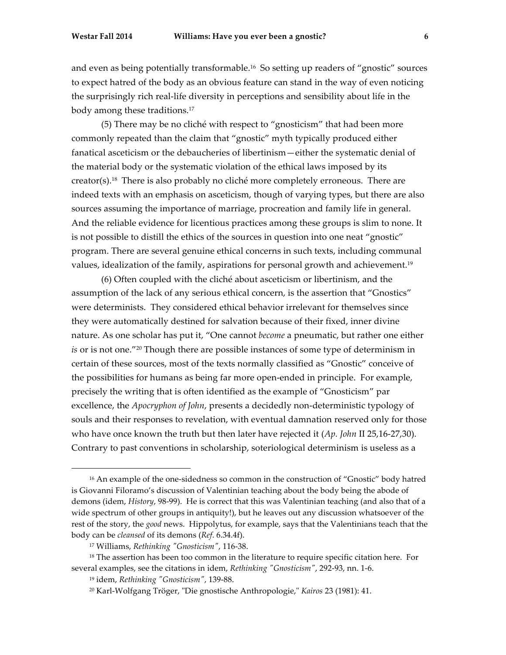and even as being potentially transformable.16 So setting up readers of "gnostic" sources to expect hatred of the body as an obvious feature can stand in the way of even noticing the surprisingly rich real-life diversity in perceptions and sensibility about life in the body among these traditions.17

(5) There may be no cliché with respect to "gnosticism" that had been more commonly repeated than the claim that "gnostic" myth typically produced either fanatical asceticism or the debaucheries of libertinism—either the systematic denial of the material body or the systematic violation of the ethical laws imposed by its creator(s).18 There is also probably no cliché more completely erroneous. There are indeed texts with an emphasis on asceticism, though of varying types, but there are also sources assuming the importance of marriage, procreation and family life in general. And the reliable evidence for licentious practices among these groups is slim to none. It is not possible to distill the ethics of the sources in question into one neat "gnostic" program. There are several genuine ethical concerns in such texts, including communal values, idealization of the family, aspirations for personal growth and achievement.19

(6) Often coupled with the cliché about asceticism or libertinism, and the assumption of the lack of any serious ethical concern, is the assertion that "Gnostics" were determinists. They considered ethical behavior irrelevant for themselves since they were automatically destined for salvation because of their fixed, inner divine nature. As one scholar has put it, "One cannot *become* a pneumatic, but rather one either *is* or is not one."20 Though there are possible instances of some type of determinism in certain of these sources, most of the texts normally classified as "Gnostic" conceive of the possibilities for humans as being far more open-ended in principle. For example, precisely the writing that is often identified as the example of "Gnosticism" par excellence, the *Apocryphon of John*, presents a decidedly non-deterministic typology of souls and their responses to revelation, with eventual damnation reserved only for those who have once known the truth but then later have rejected it (*Ap. John* II 25,16-27,30). Contrary to past conventions in scholarship, soteriological determinism is useless as a

<sup>16</sup> An example of the one-sidedness so common in the construction of "Gnostic" body hatred is Giovanni Filoramo's discussion of Valentinian teaching about the body being the abode of demons (idem, *History*, 98-99). He is correct that this was Valentinian teaching (and also that of a wide spectrum of other groups in antiquity!), but he leaves out any discussion whatsoever of the rest of the story, the *good* news. Hippolytus, for example, says that the Valentinians teach that the body can be *cleansed* of its demons (*Ref*. 6.34.4f).

<sup>17</sup> Williams, *Rethinking "Gnosticism"*, 116-38.

<sup>&</sup>lt;sup>18</sup> The assertion has been too common in the literature to require specific citation here. For several examples, see the citations in idem, *Rethinking "Gnosticism"*, 292-93, nn. 1-6.

<sup>19</sup> idem, *Rethinking "Gnosticism"*, 139-88.

<sup>20</sup> Karl-Wolfgang Tröger, "Die gnostische Anthropologie," *Kairos* 23 (1981): 41.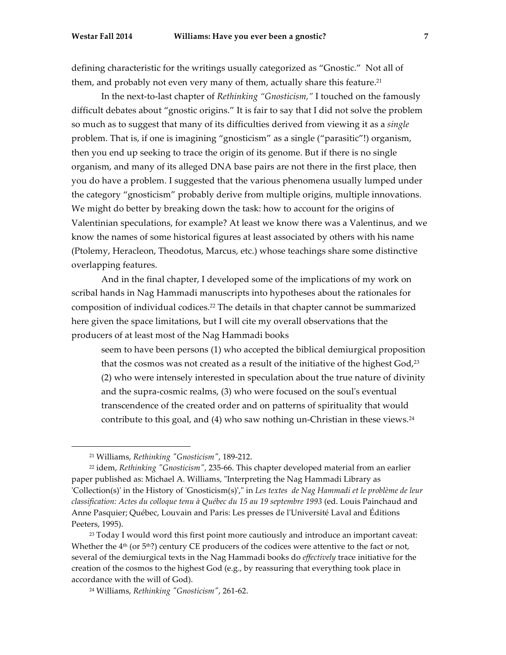defining characteristic for the writings usually categorized as "Gnostic." Not all of them, and probably not even very many of them, actually share this feature.<sup>21</sup>

In the next-to-last chapter of *Rethinking "Gnosticism,"* I touched on the famously difficult debates about "gnostic origins." It is fair to say that I did not solve the problem so much as to suggest that many of its difficulties derived from viewing it as a *single* problem. That is, if one is imagining "gnosticism" as a single ("parasitic"!) organism, then you end up seeking to trace the origin of its genome. But if there is no single organism, and many of its alleged DNA base pairs are not there in the first place, then you do have a problem. I suggested that the various phenomena usually lumped under the category "gnosticism" probably derive from multiple origins, multiple innovations. We might do better by breaking down the task: how to account for the origins of Valentinian speculations, for example? At least we know there was a Valentinus, and we know the names of some historical figures at least associated by others with his name (Ptolemy, Heracleon, Theodotus, Marcus, etc.) whose teachings share some distinctive overlapping features.

And in the final chapter, I developed some of the implications of my work on scribal hands in Nag Hammadi manuscripts into hypotheses about the rationales for composition of individual codices.22 The details in that chapter cannot be summarized here given the space limitations, but I will cite my overall observations that the producers of at least most of the Nag Hammadi books

seem to have been persons (1) who accepted the biblical demiurgical proposition that the cosmos was not created as a result of the initiative of the highest  $God<sup>23</sup>$ (2) who were intensely interested in speculation about the true nature of divinity and the supra-cosmic realms, (3) who were focused on the soul's eventual transcendence of the created order and on patterns of spirituality that would contribute to this goal, and (4) who saw nothing un-Christian in these views.24

<sup>21</sup> Williams, *Rethinking "Gnosticism"*, 189-212.

<sup>22</sup> idem, *Rethinking "Gnosticism"*, 235-66. This chapter developed material from an earlier paper published as: Michael A. Williams, "Interpreting the Nag Hammadi Library as 'Collection(s)' in the History of 'Gnosticism(s)'," in *Les textes de Nag Hammadi et le problème de leur classification: Actes du colloque tenu à Québec du 15 au 19 septembre 1993* (ed. Louis Painchaud and Anne Pasquier; Québec, Louvain and Paris: Les presses de l'Université Laval and Éditions Peeters, 1995).

<sup>23</sup> Today I would word this first point more cautiously and introduce an important caveat: Whether the  $4<sup>th</sup>$  (or 5<sup>th</sup>?) century CE producers of the codices were attentive to the fact or not, several of the demiurgical texts in the Nag Hammadi books do *effectively* trace initiative for the creation of the cosmos to the highest God (e.g., by reassuring that everything took place in accordance with the will of God).

<sup>24</sup> Williams, *Rethinking "Gnosticism"*, 261-62.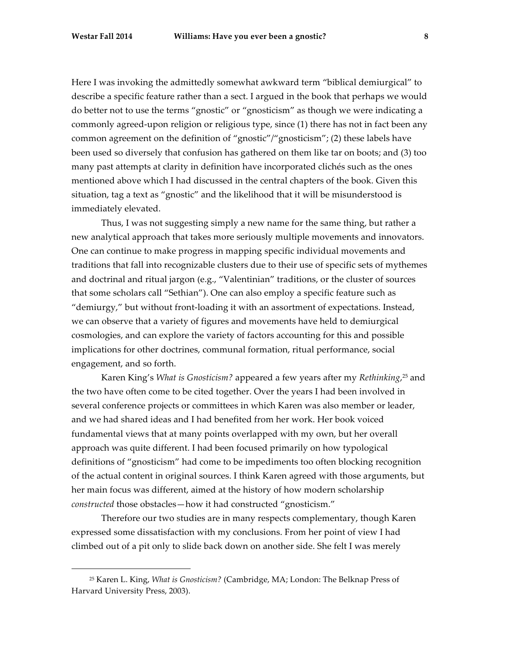Here I was invoking the admittedly somewhat awkward term "biblical demiurgical" to describe a specific feature rather than a sect. I argued in the book that perhaps we would do better not to use the terms "gnostic" or "gnosticism" as though we were indicating a commonly agreed-upon religion or religious type, since (1) there has not in fact been any common agreement on the definition of "gnostic"/"gnosticism"; (2) these labels have been used so diversely that confusion has gathered on them like tar on boots; and (3) too many past attempts at clarity in definition have incorporated clichés such as the ones mentioned above which I had discussed in the central chapters of the book. Given this situation, tag a text as "gnostic" and the likelihood that it will be misunderstood is immediately elevated.

Thus, I was not suggesting simply a new name for the same thing, but rather a new analytical approach that takes more seriously multiple movements and innovators. One can continue to make progress in mapping specific individual movements and traditions that fall into recognizable clusters due to their use of specific sets of mythemes and doctrinal and ritual jargon (e.g., "Valentinian" traditions, or the cluster of sources that some scholars call "Sethian"). One can also employ a specific feature such as "demiurgy," but without front-loading it with an assortment of expectations. Instead, we can observe that a variety of figures and movements have held to demiurgical cosmologies, and can explore the variety of factors accounting for this and possible implications for other doctrines, communal formation, ritual performance, social engagement, and so forth.

Karen King's *What is Gnosticism?* appeared a few years after my *Rethinking*, <sup>25</sup> and the two have often come to be cited together. Over the years I had been involved in several conference projects or committees in which Karen was also member or leader, and we had shared ideas and I had benefited from her work. Her book voiced fundamental views that at many points overlapped with my own, but her overall approach was quite different. I had been focused primarily on how typological definitions of "gnosticism" had come to be impediments too often blocking recognition of the actual content in original sources. I think Karen agreed with those arguments, but her main focus was different, aimed at the history of how modern scholarship *constructed* those obstacles—how it had constructed "gnosticism."

Therefore our two studies are in many respects complementary, though Karen expressed some dissatisfaction with my conclusions. From her point of view I had climbed out of a pit only to slide back down on another side. She felt I was merely

<sup>25</sup> Karen L. King, *What is Gnosticism?* (Cambridge, MA; London: The Belknap Press of Harvard University Press, 2003).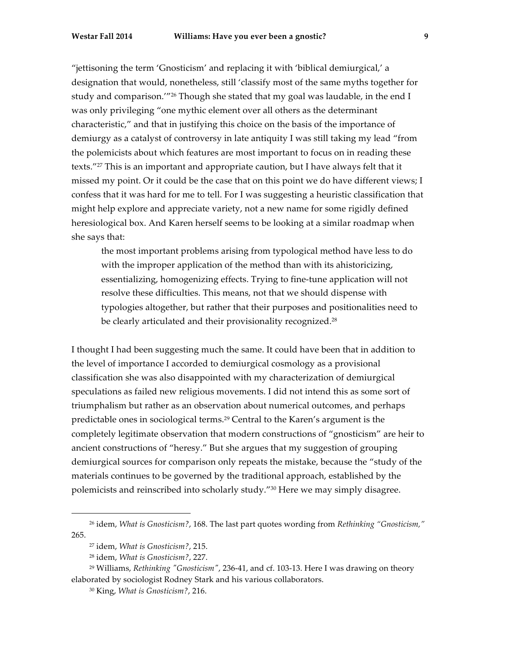"jettisoning the term 'Gnosticism' and replacing it with 'biblical demiurgical,' a designation that would, nonetheless, still 'classify most of the same myths together for study and comparison.'"26 Though she stated that my goal was laudable, in the end I was only privileging "one mythic element over all others as the determinant characteristic," and that in justifying this choice on the basis of the importance of demiurgy as a catalyst of controversy in late antiquity I was still taking my lead "from the polemicists about which features are most important to focus on in reading these texts."27 This is an important and appropriate caution, but I have always felt that it missed my point. Or it could be the case that on this point we do have different views; I confess that it was hard for me to tell. For I was suggesting a heuristic classification that might help explore and appreciate variety, not a new name for some rigidly defined heresiological box. And Karen herself seems to be looking at a similar roadmap when she says that:

the most important problems arising from typological method have less to do with the improper application of the method than with its ahistoricizing, essentializing, homogenizing effects. Trying to fine-tune application will not resolve these difficulties. This means, not that we should dispense with typologies altogether, but rather that their purposes and positionalities need to be clearly articulated and their provisionality recognized.<sup>28</sup>

I thought I had been suggesting much the same. It could have been that in addition to the level of importance I accorded to demiurgical cosmology as a provisional classification she was also disappointed with my characterization of demiurgical speculations as failed new religious movements. I did not intend this as some sort of triumphalism but rather as an observation about numerical outcomes, and perhaps predictable ones in sociological terms.29 Central to the Karen's argument is the completely legitimate observation that modern constructions of "gnosticism" are heir to ancient constructions of "heresy." But she argues that my suggestion of grouping demiurgical sources for comparison only repeats the mistake, because the "study of the materials continues to be governed by the traditional approach, established by the polemicists and reinscribed into scholarly study."30 Here we may simply disagree.

<sup>26</sup> idem, *What is Gnosticism?*, 168. The last part quotes wording from *Rethinking "Gnosticism,"* 265.

<sup>27</sup> idem, *What is Gnosticism?*, 215.

<sup>28</sup> idem, *What is Gnosticism?*, 227.

<sup>29</sup> Williams, *Rethinking "Gnosticism"*, 236-41, and cf. 103-13. Here I was drawing on theory elaborated by sociologist Rodney Stark and his various collaborators.

<sup>30</sup> King, *What is Gnosticism?*, 216.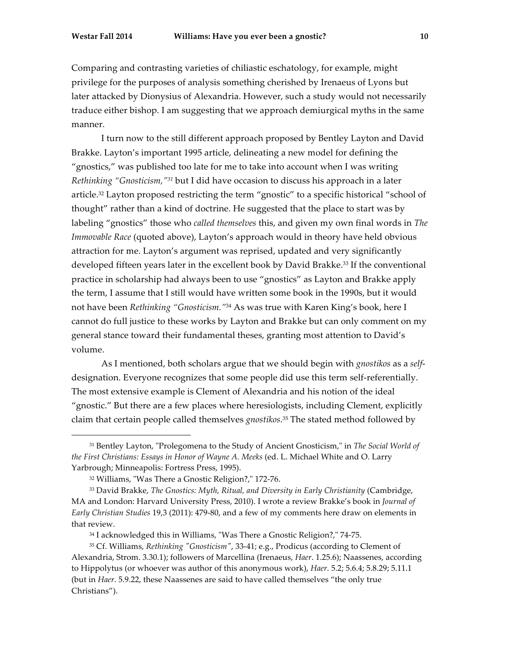<u>.</u>

Comparing and contrasting varieties of chiliastic eschatology, for example, might privilege for the purposes of analysis something cherished by Irenaeus of Lyons but later attacked by Dionysius of Alexandria. However, such a study would not necessarily traduce either bishop. I am suggesting that we approach demiurgical myths in the same manner.

I turn now to the still different approach proposed by Bentley Layton and David Brakke. Layton's important 1995 article, delineating a new model for defining the "gnostics," was published too late for me to take into account when I was writing *Rethinking "Gnosticism,"31* but I did have occasion to discuss his approach in a later article.32 Layton proposed restricting the term "gnostic" to a specific historical "school of thought" rather than a kind of doctrine. He suggested that the place to start was by labeling "gnostics" those who *called themselves* this, and given my own final words in *The Immovable Race* (quoted above), Layton's approach would in theory have held obvious attraction for me. Layton's argument was reprised, updated and very significantly developed fifteen years later in the excellent book by David Brakke.33 If the conventional practice in scholarship had always been to use "gnostics" as Layton and Brakke apply the term, I assume that I still would have written some book in the 1990s, but it would not have been *Rethinking "Gnosticism."*<sup>34</sup> As was true with Karen King's book, here I cannot do full justice to these works by Layton and Brakke but can only comment on my general stance toward their fundamental theses, granting most attention to David's volume.

As I mentioned, both scholars argue that we should begin with *gnostikos* as a *self*designation. Everyone recognizes that some people did use this term self-referentially. The most extensive example is Clement of Alexandria and his notion of the ideal "gnostic." But there are a few places where heresiologists, including Clement, explicitly claim that certain people called themselves *gnostikos*. <sup>35</sup> The stated method followed by

<sup>31</sup> Bentley Layton, "Prolegomena to the Study of Ancient Gnosticism," in *The Social World of the First Christians: Essays in Honor of Wayne A. Meeks* (ed. L. Michael White and O. Larry Yarbrough; Minneapolis: Fortress Press, 1995).

<sup>32</sup> Williams, "Was There a Gnostic Religion?," 172-76.

<sup>&</sup>lt;sup>33</sup> David Brakke, *The Gnostics: Myth, Ritual, and Diversity in Early Christianity (Cambridge,* MA and London: Harvard University Press, 2010). I wrote a review Brakke's book in *Journal of Early Christian Studies* 19,3 (2011): 479-80, and a few of my comments here draw on elements in that review.

<sup>34</sup> I acknowledged this in Williams, "Was There a Gnostic Religion?," 74-75.

<sup>35</sup> Cf. Williams, *Rethinking "Gnosticism"*, 33-41; e.g., Prodicus (according to Clement of Alexandria, Strom. 3.30.1); followers of Marcellina (Irenaeus, *Haer*. 1.25.6); Naassenes, according to Hippolytus (or whoever was author of this anonymous work), *Haer*. 5.2; 5.6.4; 5.8.29; 5.11.1 (but in *Haer*. 5.9.22, these Naassenes are said to have called themselves "the only true Christians").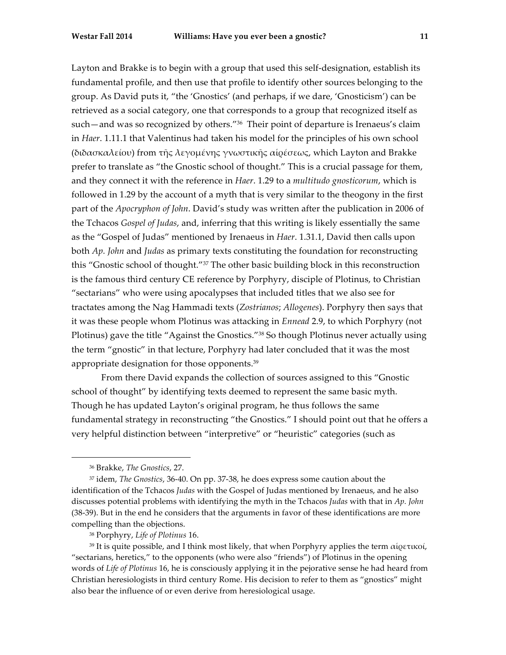Layton and Brakke is to begin with a group that used this self-designation, establish its fundamental profile, and then use that profile to identify other sources belonging to the group. As David puts it, "the 'Gnostics' (and perhaps, if we dare, 'Gnosticism') can be retrieved as a social category, one that corresponds to a group that recognized itself as such—and was so recognized by others."36 Their point of departure is Irenaeus's claim in *Haer*. 1.11.1 that Valentinus had taken his model for the principles of his own school (διδασκαλείου) from τῆς λεγοµένης γνωστικῆς αἱρέσεως, which Layton and Brakke prefer to translate as "the Gnostic school of thought." This is a crucial passage for them, and they connect it with the reference in *Haer*. 1.29 to a *multitudo gnosticorum*, which is followed in 1.29 by the account of a myth that is very similar to the theogony in the first part of the *Apocryphon of John*. David's study was written after the publication in 2006 of the Tchacos *Gospel of Judas*, and, inferring that this writing is likely essentially the same as the "Gospel of Judas" mentioned by Irenaeus in *Haer*. 1.31.1, David then calls upon both *Ap. John* and *Judas* as primary texts constituting the foundation for reconstructing this "Gnostic school of thought."37 The other basic building block in this reconstruction is the famous third century CE reference by Porphyry, disciple of Plotinus, to Christian "sectarians" who were using apocalypses that included titles that we also see for tractates among the Nag Hammadi texts (*Zostrianos*; *Allogenes*). Porphyry then says that it was these people whom Plotinus was attacking in *Ennead* 2.9, to which Porphyry (not Plotinus) gave the title "Against the Gnostics."38 So though Plotinus never actually using the term "gnostic" in that lecture, Porphyry had later concluded that it was the most appropriate designation for those opponents.39

From there David expands the collection of sources assigned to this "Gnostic school of thought" by identifying texts deemed to represent the same basic myth. Though he has updated Layton's original program, he thus follows the same fundamental strategy in reconstructing "the Gnostics." I should point out that he offers a very helpful distinction between "interpretive" or "heuristic" categories (such as

<sup>36</sup> Brakke, *The Gnostics*, 27.

<sup>37</sup> idem, *The Gnostics*, 36-40. On pp. 37-38, he does express some caution about the identification of the Tchacos *Judas* with the Gospel of Judas mentioned by Irenaeus, and he also discusses potential problems with identifying the myth in the Tchacos *Judas* with that in *Ap. John* (38-39). But in the end he considers that the arguments in favor of these identifications are more compelling than the objections.

<sup>38</sup> Porphyry, *Life of Plotinus* 16.

<sup>&</sup>lt;sup>39</sup> It is quite possible, and I think most likely, that when Porphyry applies the term αίρετικοί, "sectarians, heretics," to the opponents (who were also "friends") of Plotinus in the opening words of *Life of Plotinus* 16, he is consciously applying it in the pejorative sense he had heard from Christian heresiologists in third century Rome. His decision to refer to them as "gnostics" might also bear the influence of or even derive from heresiological usage.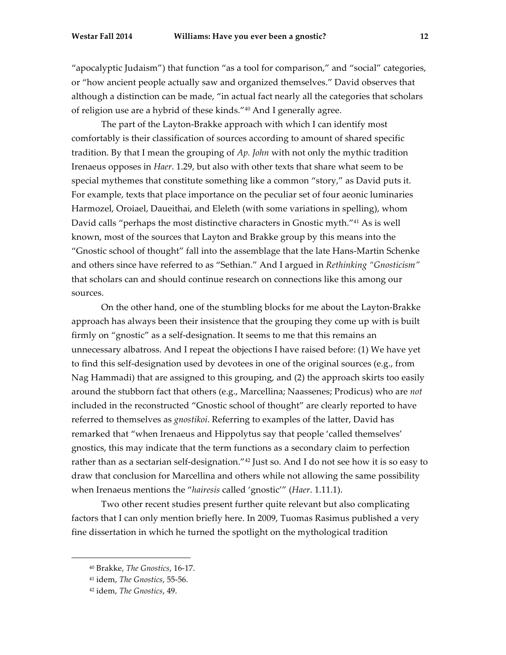"apocalyptic Judaism") that function "as a tool for comparison," and "social" categories, or "how ancient people actually saw and organized themselves." David observes that although a distinction can be made, "in actual fact nearly all the categories that scholars of religion use are a hybrid of these kinds."40 And I generally agree.

The part of the Layton-Brakke approach with which I can identify most comfortably is their classification of sources according to amount of shared specific tradition. By that I mean the grouping of *Ap. John* with not only the mythic tradition Irenaeus opposes in *Haer*. 1.29, but also with other texts that share what seem to be special mythemes that constitute something like a common "story," as David puts it. For example, texts that place importance on the peculiar set of four aeonic luminaries Harmozel, Oroiael, Daueithai, and Eleleth (with some variations in spelling), whom David calls "perhaps the most distinctive characters in Gnostic myth."41 As is well known, most of the sources that Layton and Brakke group by this means into the "Gnostic school of thought" fall into the assemblage that the late Hans-Martin Schenke and others since have referred to as "Sethian." And I argued in *Rethinking "Gnosticism"* that scholars can and should continue research on connections like this among our sources.

On the other hand, one of the stumbling blocks for me about the Layton-Brakke approach has always been their insistence that the grouping they come up with is built firmly on "gnostic" as a self-designation. It seems to me that this remains an unnecessary albatross. And I repeat the objections I have raised before: (1) We have yet to find this self-designation used by devotees in one of the original sources (e.g., from Nag Hammadi) that are assigned to this grouping, and (2) the approach skirts too easily around the stubborn fact that others (e.g., Marcellina; Naassenes; Prodicus) who are *not* included in the reconstructed "Gnostic school of thought" are clearly reported to have referred to themselves as *gnostikoi*. Referring to examples of the latter, David has remarked that "when Irenaeus and Hippolytus say that people 'called themselves' gnostics, this may indicate that the term functions as a secondary claim to perfection rather than as a sectarian self-designation."42 Just so. And I do not see how it is so easy to draw that conclusion for Marcellina and others while not allowing the same possibility when Irenaeus mentions the "*hairesis* called 'gnostic'" (*Haer*. 1.11.1).

Two other recent studies present further quite relevant but also complicating factors that I can only mention briefly here. In 2009, Tuomas Rasimus published a very fine dissertation in which he turned the spotlight on the mythological tradition

<sup>40</sup> Brakke, *The Gnostics*, 16-17.

<sup>41</sup> idem, *The Gnostics*, 55-56.

<sup>42</sup> idem, *The Gnostics*, 49.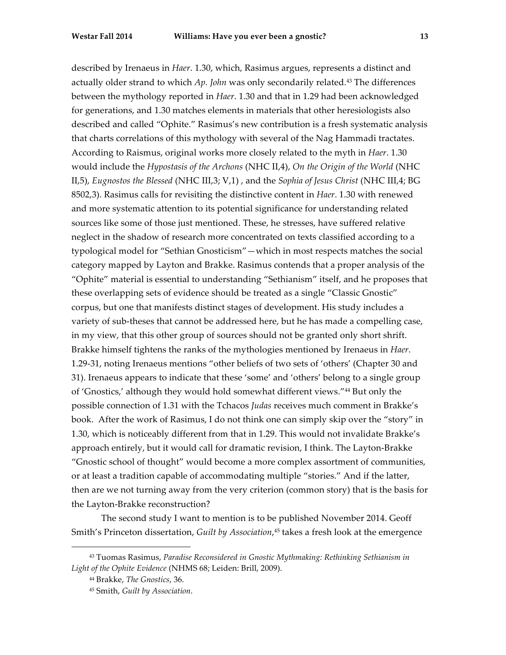described by Irenaeus in *Haer*. 1.30, which, Rasimus argues, represents a distinct and actually older strand to which *Ap. John* was only secondarily related.43 The differences between the mythology reported in *Haer*. 1.30 and that in 1.29 had been acknowledged for generations, and 1.30 matches elements in materials that other heresiologists also described and called "Ophite." Rasimus's new contribution is a fresh systematic analysis that charts correlations of this mythology with several of the Nag Hammadi tractates. According to Raismus, original works more closely related to the myth in *Haer*. 1.30 would include the *Hypostasis of the Archons* (NHC II,4), *On the Origin of the World* (NHC II,5), *Eugnostos the Blessed* (NHC III,3; V,1) , and the *Sophia of Jesus Christ* (NHC III,4; BG 8502,3). Rasimus calls for revisiting the distinctive content in *Haer*. 1.30 with renewed and more systematic attention to its potential significance for understanding related sources like some of those just mentioned. These, he stresses, have suffered relative neglect in the shadow of research more concentrated on texts classified according to a typological model for "Sethian Gnosticism"—which in most respects matches the social category mapped by Layton and Brakke. Rasimus contends that a proper analysis of the "Ophite" material is essential to understanding "Sethianism" itself, and he proposes that these overlapping sets of evidence should be treated as a single "Classic Gnostic" corpus, but one that manifests distinct stages of development. His study includes a variety of sub-theses that cannot be addressed here, but he has made a compelling case, in my view, that this other group of sources should not be granted only short shrift. Brakke himself tightens the ranks of the mythologies mentioned by Irenaeus in *Haer*. 1.29-31, noting Irenaeus mentions "other beliefs of two sets of 'others' (Chapter 30 and 31). Irenaeus appears to indicate that these 'some' and 'others' belong to a single group of 'Gnostics,' although they would hold somewhat different views."44 But only the possible connection of 1.31 with the Tchacos *Judas* receives much comment in Brakke's book. After the work of Rasimus, I do not think one can simply skip over the "story" in 1.30, which is noticeably different from that in 1.29. This would not invalidate Brakke's approach entirely, but it would call for dramatic revision, I think. The Layton-Brakke "Gnostic school of thought" would become a more complex assortment of communities, or at least a tradition capable of accommodating multiple "stories." And if the latter, then are we not turning away from the very criterion (common story) that is the basis for the Layton-Brakke reconstruction?

The second study I want to mention is to be published November 2014. Geoff Smith's Princeton dissertation, *Guilt by Association*, <sup>45</sup> takes a fresh look at the emergence

<sup>43</sup> Tuomas Rasimus, *Paradise Reconsidered in Gnostic Mythmaking: Rethinking Sethianism in Light of the Ophite Evidence* (NHMS 68; Leiden: Brill, 2009).

<sup>44</sup> Brakke, *The Gnostics*, 36.

<sup>45</sup> Smith, *Guilt by Association*.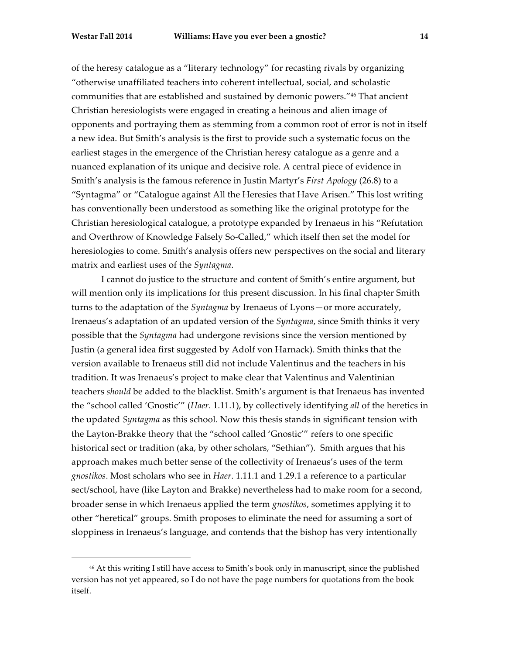of the heresy catalogue as a "literary technology" for recasting rivals by organizing "otherwise unaffiliated teachers into coherent intellectual, social, and scholastic communities that are established and sustained by demonic powers."46 That ancient Christian heresiologists were engaged in creating a heinous and alien image of opponents and portraying them as stemming from a common root of error is not in itself a new idea. But Smith's analysis is the first to provide such a systematic focus on the earliest stages in the emergence of the Christian heresy catalogue as a genre and a nuanced explanation of its unique and decisive role. A central piece of evidence in Smith's analysis is the famous reference in Justin Martyr's *First Apology* (26.8) to a "Syntagma" or "Catalogue against All the Heresies that Have Arisen." This lost writing has conventionally been understood as something like the original prototype for the Christian heresiological catalogue, a prototype expanded by Irenaeus in his "Refutation and Overthrow of Knowledge Falsely So-Called," which itself then set the model for heresiologies to come. Smith's analysis offers new perspectives on the social and literary matrix and earliest uses of the *Syntagma*.

I cannot do justice to the structure and content of Smith's entire argument, but will mention only its implications for this present discussion. In his final chapter Smith turns to the adaptation of the *Syntagma* by Irenaeus of Lyons—or more accurately, Irenaeus's adaptation of an updated version of the *Syntagma*, since Smith thinks it very possible that the *Syntagma* had undergone revisions since the version mentioned by Justin (a general idea first suggested by Adolf von Harnack). Smith thinks that the version available to Irenaeus still did not include Valentinus and the teachers in his tradition. It was Irenaeus's project to make clear that Valentinus and Valentinian teachers *should* be added to the blacklist. Smith's argument is that Irenaeus has invented the "school called 'Gnostic'" (*Haer*. 1.11.1), by collectively identifying *all* of the heretics in the updated *Syntagma* as this school. Now this thesis stands in significant tension with the Layton-Brakke theory that the "school called 'Gnostic'" refers to one specific historical sect or tradition (aka, by other scholars, "Sethian"). Smith argues that his approach makes much better sense of the collectivity of Irenaeus's uses of the term *gnostikos*. Most scholars who see in *Haer*. 1.11.1 and 1.29.1 a reference to a particular sect/school, have (like Layton and Brakke) nevertheless had to make room for a second, broader sense in which Irenaeus applied the term *gnostikos*, sometimes applying it to other "heretical" groups. Smith proposes to eliminate the need for assuming a sort of sloppiness in Irenaeus's language, and contends that the bishop has very intentionally

<sup>46</sup> At this writing I still have access to Smith's book only in manuscript, since the published version has not yet appeared, so I do not have the page numbers for quotations from the book itself.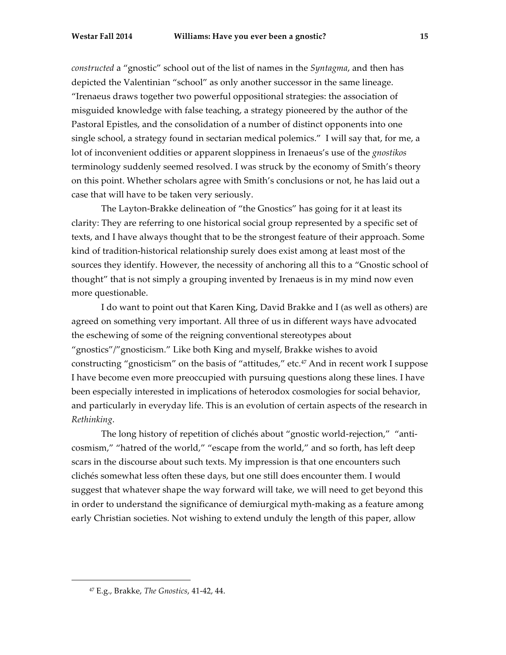*constructed* a "gnostic" school out of the list of names in the *Syntagma*, and then has depicted the Valentinian "school" as only another successor in the same lineage. "Irenaeus draws together two powerful oppositional strategies: the association of misguided knowledge with false teaching, a strategy pioneered by the author of the Pastoral Epistles, and the consolidation of a number of distinct opponents into one single school, a strategy found in sectarian medical polemics." I will say that, for me, a lot of inconvenient oddities or apparent sloppiness in Irenaeus's use of the *gnostikos* terminology suddenly seemed resolved. I was struck by the economy of Smith's theory on this point. Whether scholars agree with Smith's conclusions or not, he has laid out a case that will have to be taken very seriously.

The Layton-Brakke delineation of "the Gnostics" has going for it at least its clarity: They are referring to one historical social group represented by a specific set of texts, and I have always thought that to be the strongest feature of their approach. Some kind of tradition-historical relationship surely does exist among at least most of the sources they identify. However, the necessity of anchoring all this to a "Gnostic school of thought" that is not simply a grouping invented by Irenaeus is in my mind now even more questionable.

I do want to point out that Karen King, David Brakke and I (as well as others) are agreed on something very important. All three of us in different ways have advocated the eschewing of some of the reigning conventional stereotypes about "gnostics"/"gnosticism." Like both King and myself, Brakke wishes to avoid constructing "gnosticism" on the basis of "attitudes," etc.<sup>47</sup> And in recent work I suppose I have become even more preoccupied with pursuing questions along these lines. I have been especially interested in implications of heterodox cosmologies for social behavior, and particularly in everyday life. This is an evolution of certain aspects of the research in *Rethinking*.

The long history of repetition of clichés about "gnostic world-rejection," "anticosmism," "hatred of the world," "escape from the world," and so forth, has left deep scars in the discourse about such texts. My impression is that one encounters such clichés somewhat less often these days, but one still does encounter them. I would suggest that whatever shape the way forward will take, we will need to get beyond this in order to understand the significance of demiurgical myth-making as a feature among early Christian societies. Not wishing to extend unduly the length of this paper, allow

<sup>47</sup> E.g., Brakke, *The Gnostics*, 41-42, 44.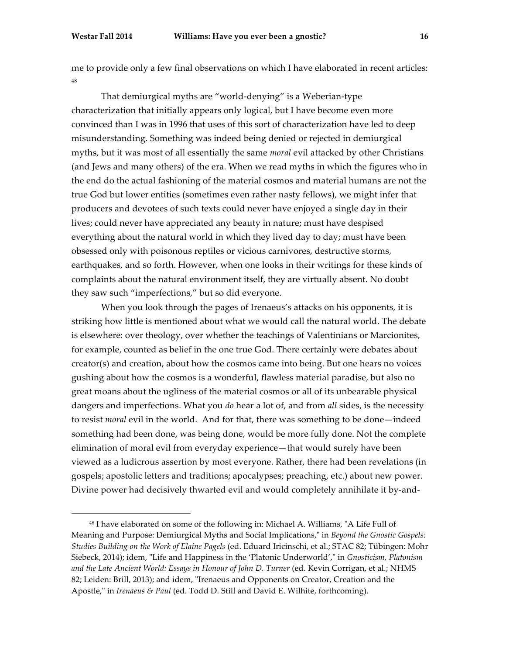me to provide only a few final observations on which I have elaborated in recent articles: 48

That demiurgical myths are "world-denying" is a Weberian-type characterization that initially appears only logical, but I have become even more convinced than I was in 1996 that uses of this sort of characterization have led to deep misunderstanding. Something was indeed being denied or rejected in demiurgical myths, but it was most of all essentially the same *moral* evil attacked by other Christians (and Jews and many others) of the era. When we read myths in which the figures who in the end do the actual fashioning of the material cosmos and material humans are not the true God but lower entities (sometimes even rather nasty fellows), we might infer that producers and devotees of such texts could never have enjoyed a single day in their lives; could never have appreciated any beauty in nature; must have despised everything about the natural world in which they lived day to day; must have been obsessed only with poisonous reptiles or vicious carnivores, destructive storms, earthquakes, and so forth. However, when one looks in their writings for these kinds of complaints about the natural environment itself, they are virtually absent. No doubt they saw such "imperfections," but so did everyone.

When you look through the pages of Irenaeus's attacks on his opponents, it is striking how little is mentioned about what we would call the natural world. The debate is elsewhere: over theology, over whether the teachings of Valentinians or Marcionites, for example, counted as belief in the one true God. There certainly were debates about creator(s) and creation, about how the cosmos came into being. But one hears no voices gushing about how the cosmos is a wonderful, flawless material paradise, but also no great moans about the ugliness of the material cosmos or all of its unbearable physical dangers and imperfections. What you *do* hear a lot of, and from *all* sides, is the necessity to resist *moral* evil in the world. And for that, there was something to be done—indeed something had been done, was being done, would be more fully done. Not the complete elimination of moral evil from everyday experience—that would surely have been viewed as a ludicrous assertion by most everyone. Rather, there had been revelations (in gospels; apostolic letters and traditions; apocalypses; preaching, etc.) about new power. Divine power had decisively thwarted evil and would completely annihilate it by-and-

<sup>48</sup> I have elaborated on some of the following in: Michael A. Williams, "A Life Full of Meaning and Purpose: Demiurgical Myths and Social Implications," in *Beyond the Gnostic Gospels: Studies Building on the Work of Elaine Pagels* (ed. Eduard Iricinschi, et al.; STAC 82; Tübingen: Mohr Siebeck, 2014); idem, "Life and Happiness in the 'Platonic Underworld'," in *Gnosticism, Platonism and the Late Ancient World: Essays in Honour of John D. Turner* (ed. Kevin Corrigan, et al.; NHMS 82; Leiden: Brill, 2013); and idem, "Irenaeus and Opponents on Creator, Creation and the Apostle," in *Irenaeus & Paul* (ed. Todd D. Still and David E. Wilhite, forthcoming).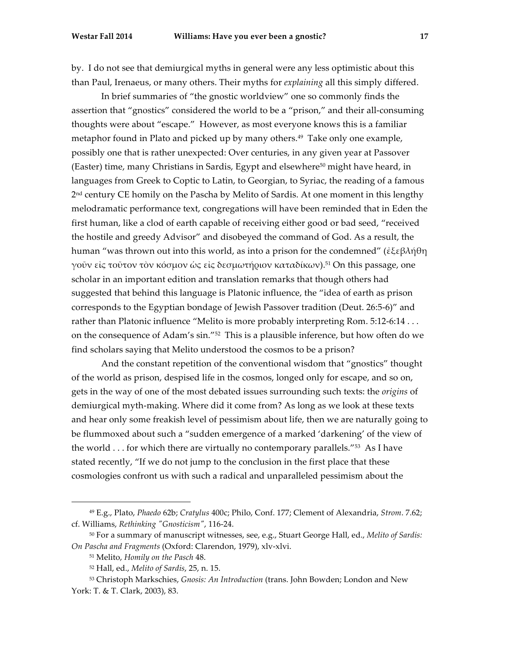by. I do not see that demiurgical myths in general were any less optimistic about this than Paul, Irenaeus, or many others. Their myths for *explaining* all this simply differed.

In brief summaries of "the gnostic worldview" one so commonly finds the assertion that "gnostics" considered the world to be a "prison," and their all-consuming thoughts were about "escape." However, as most everyone knows this is a familiar metaphor found in Plato and picked up by many others.49 Take only one example, possibly one that is rather unexpected: Over centuries, in any given year at Passover (Easter) time, many Christians in Sardis, Egypt and elsewhere<sup>50</sup> might have heard, in languages from Greek to Coptic to Latin, to Georgian, to Syriac, the reading of a famous 2<sup>nd</sup> century CE homily on the Pascha by Melito of Sardis. At one moment in this lengthy melodramatic performance text, congregations will have been reminded that in Eden the first human, like a clod of earth capable of receiving either good or bad seed, "received the hostile and greedy Advisor" and disobeyed the command of God. As a result, the human "was thrown out into this world, as into a prison for the condemned" (ἐξεβλήθη γοῦν εἰς τοῦτον τὸν κόσμον ὡς εἰς δεσμωτήριον καταδίκων).<sup>51</sup> On this passage, one scholar in an important edition and translation remarks that though others had suggested that behind this language is Platonic influence, the "idea of earth as prison corresponds to the Egyptian bondage of Jewish Passover tradition (Deut. 26:5-6)" and rather than Platonic influence "Melito is more probably interpreting Rom. 5:12-6:14 . . . on the consequence of Adam's sin."52 This is a plausible inference, but how often do we find scholars saying that Melito understood the cosmos to be a prison?

And the constant repetition of the conventional wisdom that "gnostics" thought of the world as prison, despised life in the cosmos, longed only for escape, and so on, gets in the way of one of the most debated issues surrounding such texts: the *origins* of demiurgical myth-making. Where did it come from? As long as we look at these texts and hear only some freakish level of pessimism about life, then we are naturally going to be flummoxed about such a "sudden emergence of a marked 'darkening' of the view of the world  $\dots$  for which there are virtually no contemporary parallels."<sup>53</sup> As I have stated recently, "If we do not jump to the conclusion in the first place that these cosmologies confront us with such a radical and unparalleled pessimism about the

<sup>49</sup> E.g., Plato, *Phaedo* 62b; *Cratylus* 400c; Philo, Conf. 177; Clement of Alexandria, *Strom*. 7.62; cf. Williams, *Rethinking "Gnosticism"*, 116-24.

<sup>50</sup> For a summary of manuscript witnesses, see, e.g., Stuart George Hall, ed., *Melito of Sardis: On Pascha and Fragments* (Oxford: Clarendon, 1979), xlv-xlvi.

<sup>51</sup> Melito, *Homily on the Pasch* 48.

<sup>52</sup> Hall, ed., *Melito of Sardis*, 25, n. 15.

<sup>53</sup> Christoph Markschies, *Gnosis: An Introduction* (trans. John Bowden; London and New York: T. & T. Clark, 2003), 83.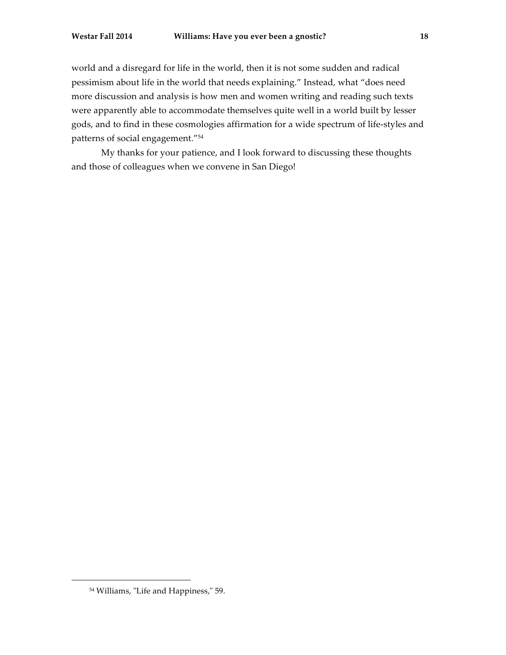world and a disregard for life in the world, then it is not some sudden and radical pessimism about life in the world that needs explaining." Instead, what "does need more discussion and analysis is how men and women writing and reading such texts were apparently able to accommodate themselves quite well in a world built by lesser gods, and to find in these cosmologies affirmation for a wide spectrum of life-styles and patterns of social engagement."54

My thanks for your patience, and I look forward to discussing these thoughts and those of colleagues when we convene in San Diego!

<sup>54</sup> Williams, "Life and Happiness," 59.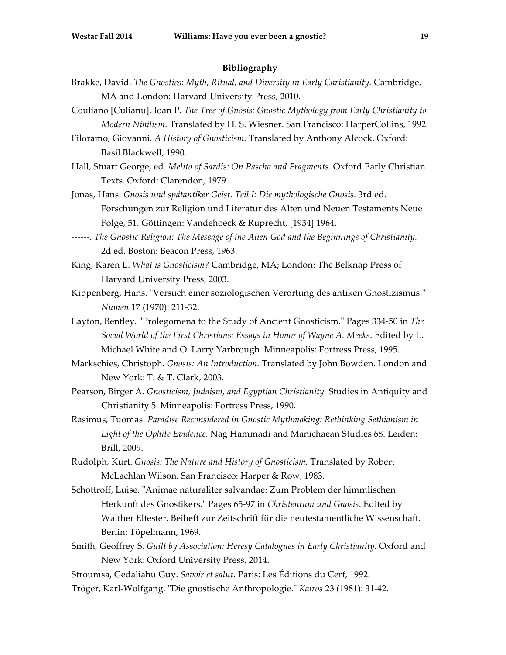## **Bibliography**

- Brakke, David. *The Gnostics: Myth, Ritual, and Diversity in Early Christianity.* Cambridge, MA and London: Harvard University Press, 2010.
- Couliano [Culianu], Ioan P. *The Tree of Gnosis: Gnostic Mythology from Early Christianity to Modern Nihilism.* Translated by H. S. Wiesner. San Francisco: HarperCollins, 1992.

Filoramo, Giovanni. *A History of Gnosticism.* Translated by Anthony Alcock. Oxford: Basil Blackwell, 1990.

- Hall, Stuart George, ed. *Melito of Sardis: On Pascha and Fragments*. Oxford Early Christian Texts. Oxford: Clarendon, 1979.
- Jonas, Hans. *Gnosis und spätantiker Geist. Teil I: Die mythologische Gnosis.* 3rd ed. Forschungen zur Religion und Literatur des Alten und Neuen Testaments Neue Folge, 51. Göttingen: Vandehoeck & Ruprecht, [1934] 1964.
- ------. *The Gnostic Religion: The Message of the Alien God and the Beginnings of Christianity.* 2d ed. Boston: Beacon Press, 1963.
- King, Karen L. *What is Gnosticism?* Cambridge, MA; London: The Belknap Press of Harvard University Press, 2003.
- Kippenberg, Hans. "Versuch einer soziologischen Verortung des antiken Gnostizismus." *Numen* 17 (1970): 211-32.
- Layton, Bentley. "Prolegomena to the Study of Ancient Gnosticism." Pages 334-50 in *The Social World of the First Christians: Essays in Honor of Wayne A. Meeks*. Edited by L. Michael White and O. Larry Yarbrough. Minneapolis: Fortress Press, 1995.
- Markschies, Christoph. *Gnosis: An Introduction.* Translated by John Bowden. London and New York: T. & T. Clark, 2003.
- Pearson, Birger A. *Gnosticism, Judaism, and Egyptian Christianity.* Studies in Antiquity and Christianity 5. Minneapolis: Fortress Press, 1990.
- Rasimus, Tuomas. *Paradise Reconsidered in Gnostic Mythmaking: Rethinking Sethianism in Light of the Ophite Evidence.* Nag Hammadi and Manichaean Studies 68. Leiden: Brill, 2009.
- Rudolph, Kurt. *Gnosis: The Nature and History of Gnosticism.* Translated by Robert McLachlan Wilson. San Francisco: Harper & Row, 1983.
- Schottroff, Luise. "Animae naturaliter salvandae: Zum Problem der himmlischen Herkunft des Gnostikers." Pages 65-97 in *Christentum und Gnosis*. Edited by Walther Eltester. Beiheft zur Zeitschrift für die neutestamentliche Wissenschaft. Berlin: Töpelmann, 1969.
- Smith, Geoffrey S. *Guilt by Association: Heresy Catalogues in Early Christianity.* Oxford and New York: Oxford University Press, 2014.
- Stroumsa, Gedaliahu Guy. *Savoir et salut.* Paris: Les Éditions du Cerf, 1992.
- Tröger, Karl-Wolfgang. "Die gnostische Anthropologie." *Kairos* 23 (1981): 31-42.